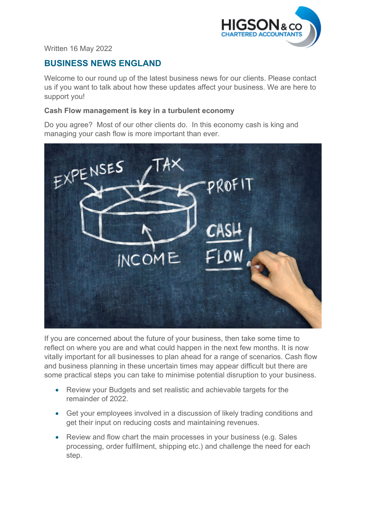

Written 16 May 2022

# **BUSINESS NEWS ENGLAND**

Welcome to our round up of the latest business news for our clients. Please contact us if you want to talk about how these updates affect your business. We are here to support you!

#### **Cash Flow management is key in a turbulent economy**

Do you agree? Most of our other clients do. In this economy cash is king and managing your cash flow is more important than ever.



If you are concerned about the future of your business, then take some time to reflect on where you are and what could happen in the next few months. It is now vitally important for all businesses to plan ahead for a range of scenarios. Cash flow and business planning in these uncertain times may appear difficult but there are some practical steps you can take to minimise potential disruption to your business.

- Review your Budgets and set realistic and achievable targets for the remainder of 2022.
- Get your employees involved in a discussion of likely trading conditions and get their input on reducing costs and maintaining revenues.
- Review and flow chart the main processes in your business (e.g. Sales processing, order fulfilment, shipping etc.) and challenge the need for each step.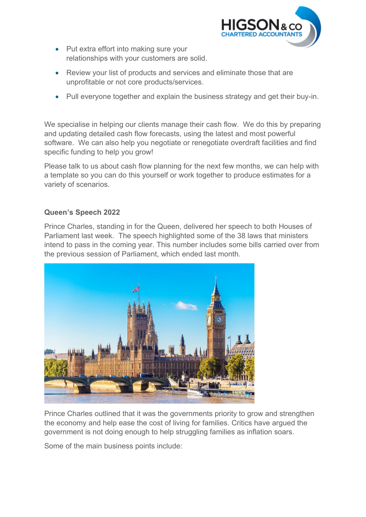

- Put extra effort into making sure your relationships with your customers are solid.
- Review your list of products and services and eliminate those that are unprofitable or not core products/services.
- Pull everyone together and explain the business strategy and get their buy-in.

We specialise in helping our clients manage their cash flow. We do this by preparing and updating detailed cash flow forecasts, using the latest and most powerful software. We can also help you negotiate or renegotiate overdraft facilities and find specific funding to help you grow!

Please talk to us about cash flow planning for the next few months, we can help with a template so you can do this yourself or work together to produce estimates for a variety of scenarios.

## **Queen's Speech 2022**

Prince Charles, standing in for the Queen, delivered her speech to both Houses of Parliament last week. The speech highlighted some of the 38 laws that ministers intend to pass in the coming year. This number includes some bills carried over from the previous session of Parliament, which ended last month.



Prince Charles outlined that it was the governments priority to grow and strengthen the economy and help ease the cost of living for families. Critics have argued the government is not doing enough to help struggling families as inflation soars.

Some of the main business points include: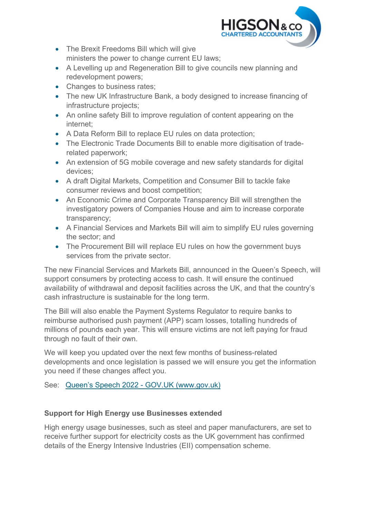

- The Brexit Freedoms Bill which will give ministers the power to change current EU laws;
- A Levelling up and Regeneration Bill to give councils new planning and redevelopment powers;
- Changes to business rates;
- The new UK Infrastructure Bank, a body designed to increase financing of infrastructure projects;
- An online safety Bill to improve regulation of content appearing on the internet;
- A Data Reform Bill to replace EU rules on data protection;
- The Electronic Trade Documents Bill to enable more digitisation of traderelated paperwork;
- An extension of 5G mobile coverage and new safety standards for digital devices;
- A draft Digital Markets, Competition and Consumer Bill to tackle fake consumer reviews and boost competition;
- An Economic Crime and Corporate Transparency Bill will strengthen the investigatory powers of Companies House and aim to increase corporate transparency;
- A Financial Services and Markets Bill will aim to simplify EU rules governing the sector; and
- The Procurement Bill will replace EU rules on how the government buys services from the private sector.

The new Financial Services and Markets Bill, announced in the Queen's Speech, will support consumers by protecting access to cash. It will ensure the continued availability of withdrawal and deposit facilities across the UK, and that the country's cash infrastructure is sustainable for the long term.

The Bill will also enable the Payment Systems Regulator to require banks to reimburse authorised push payment (APP) scam losses, totalling hundreds of millions of pounds each year. This will ensure victims are not left paying for fraud through no fault of their own.

We will keep you updated over the next few months of business-related developments and once legislation is passed we will ensure you get the information you need if these changes affect you.

See: [Queen's Speech 2022 - GOV.UK \(www.gov.uk\)](https://www.gov.uk/government/speeches/queens-speech-2022)

## **Support for High Energy use Businesses extended**

High energy usage businesses, such as steel and paper manufacturers, are set to receive further support for electricity costs as the UK government has confirmed details of the Energy Intensive Industries (EII) compensation scheme.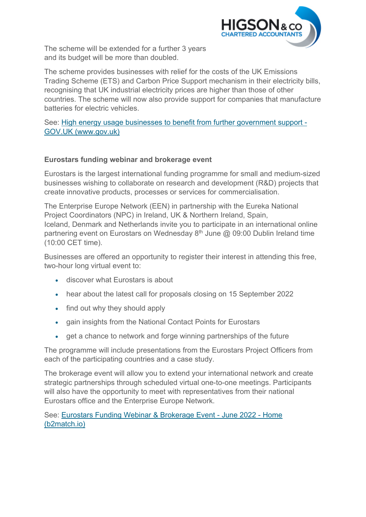

The scheme will be extended for a further 3 years and its budget will be more than doubled.

The scheme provides businesses with relief for the costs of the UK Emissions Trading Scheme (ETS) and Carbon Price Support mechanism in their electricity bills, recognising that UK industrial electricity prices are higher than those of other countries. The scheme will now also provide support for companies that manufacture batteries for electric vehicles.

See: [High energy usage businesses to benefit from further government support -](https://www.gov.uk/government/news/high-energy-usage-businesses-to-benefit-from-further-government-support)  [GOV.UK \(www.gov.uk\)](https://www.gov.uk/government/news/high-energy-usage-businesses-to-benefit-from-further-government-support)

## **Eurostars funding webinar and brokerage event**

Eurostars is the largest international funding programme for small and medium-sized businesses wishing to collaborate on research and development (R&D) projects that create innovative products, processes or services for commercialisation.

The Enterprise Europe Network (EEN) in partnership with the Eureka National Project Coordinators (NPC) in Ireland, UK & Northern Ireland, Spain, Iceland, Denmark and Netherlands invite you to participate in an international online partnering event on Eurostars on Wednesday  $8<sup>th</sup>$  June @ 09:00 Dublin Ireland time (10:00 CET time).

Businesses are offered an opportunity to register their interest in attending this free, two-hour long virtual event to:

- discover what Eurostars is about
- hear about the latest call for proposals closing on 15 September 2022
- find out why they should apply
- gain insights from the National Contact Points for Eurostars
- get a chance to network and forge winning partnerships of the future

The programme will include presentations from the Eurostars Project Officers from each of the participating countries and a case study.

The brokerage event will allow you to extend your international network and create strategic partnerships through scheduled virtual one-to-one meetings. Participants will also have the opportunity to meet with representatives from their national Eurostars office and the Enterprise Europe Network.

See: Eurostars [Funding Webinar & Brokerage Event - June 2022 - Home](https://eurostars-webinar-brokerage-event.b2match.io/home)  [\(b2match.io\)](https://eurostars-webinar-brokerage-event.b2match.io/home)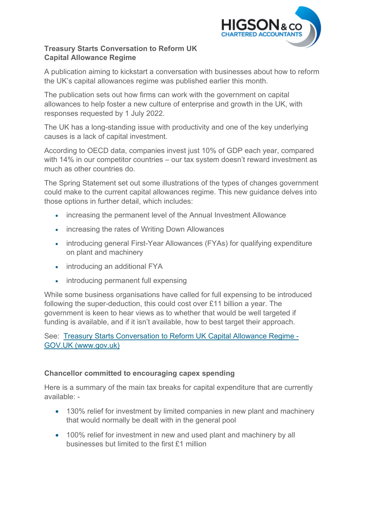

## **Treasury Starts Conversation to Reform UK Capital Allowance Regime**

A publication aiming to kickstart a conversation with businesses about how to reform the UK's capital allowances regime was published earlier this month.

The publication sets out how firms can work with the government on capital allowances to help foster a new culture of enterprise and growth in the UK, with responses requested by 1 July 2022.

The UK has a long-standing issue with productivity and one of the key underlying causes is a lack of capital investment.

According to OECD data, companies invest just 10% of GDP each year, compared with 14% in our competitor countries – our tax system doesn't reward investment as much as other countries do.

The Spring Statement set out some illustrations of the types of changes government could make to the current capital allowances regime. This new guidance delves into those options in further detail, which includes:

- increasing the permanent level of the Annual Investment Allowance
- increasing the rates of Writing Down Allowances
- introducing general First-Year Allowances (FYAs) for qualifying expenditure on plant and machinery
- introducing an additional FYA
- introducing permanent full expensing

While some business organisations have called for full expensing to be introduced following the super-deduction, this could cost over £11 billion a year. The government is keen to hear views as to whether that would be well targeted if funding is available, and if it isn't available, how to best target their approach.

See: [Treasury Starts Conversation to Reform UK Capital Allowance Regime -](https://www.gov.uk/government/news/treasury-starts-conversation-to-reform-uk-capital-allowance-regime)  [GOV.UK \(www.gov.uk\)](https://www.gov.uk/government/news/treasury-starts-conversation-to-reform-uk-capital-allowance-regime)

#### **Chancellor committed to encouraging capex spending**

Here is a summary of the main tax breaks for capital expenditure that are currently available: -

- 130% relief for investment by limited companies in new plant and machinery that would normally be dealt with in the general pool
- 100% relief for investment in new and used plant and machinery by all businesses but limited to the first £1 million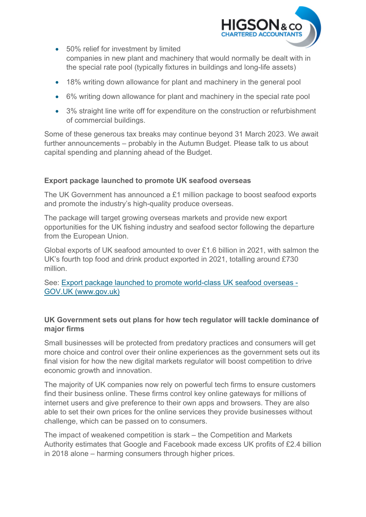

- 50% relief for investment by limited companies in new plant and machinery that would normally be dealt with in the special rate pool (typically fixtures in buildings and long-life assets)
- 18% writing down allowance for plant and machinery in the general pool
- 6% writing down allowance for plant and machinery in the special rate pool
- 3% straight line write off for expenditure on the construction or refurbishment of commercial buildings.

Some of these generous tax breaks may continue beyond 31 March 2023. We await further announcements – probably in the Autumn Budget. Please talk to us about capital spending and planning ahead of the Budget.

## **Export package launched to promote UK seafood overseas**

The UK Government has announced a £1 million package to boost seafood exports and promote the industry's high-quality produce overseas.

The package will target growing overseas markets and provide new export opportunities for the UK fishing industry and seafood sector following the departure from the European Union.

Global exports of UK seafood amounted to over £1.6 billion in 2021, with salmon the UK's fourth top food and drink product exported in 2021, totalling around £730 million.

See: [Export package launched to promote world-class UK seafood overseas -](https://www.gov.uk/government/news/export-package-launched-to-promote-world-class-uk-seafood-overseas)  [GOV.UK \(www.gov.uk\)](https://www.gov.uk/government/news/export-package-launched-to-promote-world-class-uk-seafood-overseas)

## **UK Government sets out plans for how tech regulator will tackle dominance of major firms**

Small businesses will be protected from predatory practices and consumers will get more choice and control over their online experiences as the government sets out its final vision for how the new digital markets regulator will boost competition to drive economic growth and innovation.

The majority of UK companies now rely on powerful tech firms to ensure customers find their business online. These firms control key online gateways for millions of internet users and give preference to their own apps and browsers. They are also able to set their own prices for the online services they provide businesses without challenge, which can be passed on to consumers.

The impact of weakened competition is stark – the Competition and Markets Authority estimates that Google and Facebook made excess UK profits of £2.4 billion in 2018 alone – harming consumers through higher prices.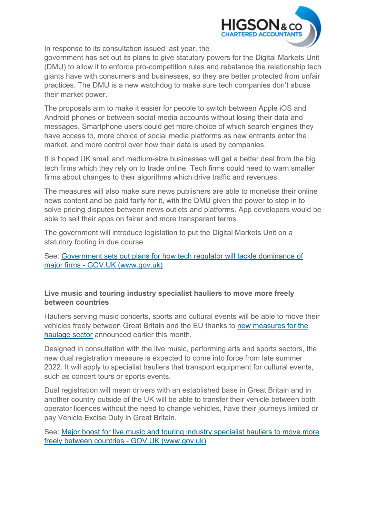

In response to its consultation issued last year, the

government has set out its plans to give statutory powers for the Digital Markets Unit (DMU) to allow it to enforce pro-competition rules and rebalance the relationship tech giants have with consumers and businesses, so they are better protected from unfair practices. The DMU is a new watchdog to make sure tech companies don't abuse their market power.

The proposals aim to make it easier for people to switch between Apple iOS and Android phones or between social media accounts without losing their data and messages. Smartphone users could get more choice of which search engines they have access to, more choice of social media platforms as new entrants enter the market, and more control over how their data is used by companies.

It is hoped UK small and medium-size businesses will get a better deal from the big tech firms which they rely on to trade online. Tech firms could need to warn smaller firms about changes to their algorithms which drive traffic and revenues.

The measures will also make sure news publishers are able to monetise their online news content and be paid fairly for it, with the DMU given the power to step in to solve pricing disputes between news outlets and platforms. App developers would be able to sell their apps on fairer and more transparent terms.

The government will introduce legislation to put the Digital Markets Unit on a statutory footing in due course.

See: [Government sets out plans for how tech regulator will tackle dominance of](https://www.gov.uk/government/news/government-sets-out-plans-for-how-tech-regulator-will-tackle-dominance-of-major-firms)  [major firms - GOV.UK \(www.gov.uk\)](https://www.gov.uk/government/news/government-sets-out-plans-for-how-tech-regulator-will-tackle-dominance-of-major-firms)

### **Live music and touring industry specialist hauliers to move more freely between countries**

Hauliers serving music concerts, sports and cultural events will be able to move their vehicles freely between Great Britain and the EU thanks to [new measures for the](https://www.gov.uk/government/consultations/cultural-events-road-haulage-temporary-transfer-of-vehicles-between-operator-licences-for-cross-border-tours)  [haulage sector](https://www.gov.uk/government/consultations/cultural-events-road-haulage-temporary-transfer-of-vehicles-between-operator-licences-for-cross-border-tours) announced earlier this month.

Designed in consultation with the live music, performing arts and sports sectors, the new dual registration measure is expected to come into force from late summer 2022. It will apply to specialist hauliers that transport equipment for cultural events, such as concert tours or sports events.

Dual registration will mean drivers with an established base in Great Britain and in another country outside of the UK will be able to transfer their vehicle between both operator licences without the need to change vehicles, have their journeys limited or pay Vehicle Excise Duty in Great Britain. 

See: [Major boost for live music and touring industry specialist hauliers to move more](https://www.gov.uk/government/news/major-boost-for-live-music-and-touring-industry-specialist-hauliers-to-move-more-freely-between-countries)  [freely between countries - GOV.UK \(www.gov.uk\)](https://www.gov.uk/government/news/major-boost-for-live-music-and-touring-industry-specialist-hauliers-to-move-more-freely-between-countries)